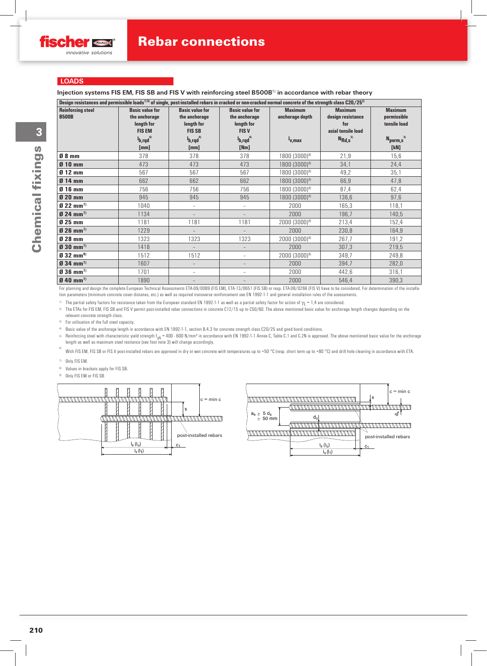## **LOADS**

**Injection systems FIS EM, FIS SB and FIS V with reinforcing steel B500B**5) **in accordance with rebar theory**

| Design resistances and permissible loads <sup>1) 6</sup> ) of single, post-installed rebars in cracked or non-cracked normal concrete of the strength class C20/25 <sup>2</sup> |                                                                                                                    |                                                                                                                                         |                                                                                                                  |                                                         |                                                                                        |                                                                                         |  |
|---------------------------------------------------------------------------------------------------------------------------------------------------------------------------------|--------------------------------------------------------------------------------------------------------------------|-----------------------------------------------------------------------------------------------------------------------------------------|------------------------------------------------------------------------------------------------------------------|---------------------------------------------------------|----------------------------------------------------------------------------------------|-----------------------------------------------------------------------------------------|--|
| <b>Reinforcing steel</b><br><b>B500B</b>                                                                                                                                        | <b>Basic value for</b><br>the anchorage<br>length for<br><b>FIS EM</b><br><sup>4</sup> b,rqd <sup>4)</sup><br>[mm] | <b>Basic value for</b><br>the anchorage<br>length for<br><b>FIS SB</b><br>$I_{\mathbf{b},\mathbf{r} \mathbf{q} \mathbf{d}}^{4}$<br>[mm] | <b>Basic value for</b><br>the anchorage<br>length for<br><b>FISV</b><br><sup>l</sup> b,rqd <sup>4)</sup><br>[Nm] | <b>Maximum</b><br>anchorage depth<br><sup>I</sup> v.max | <b>Maximum</b><br>design resistance<br>for<br>axial tensile load<br>$N_{\rm Rd,s}^{3}$ | <b>Maximum</b><br>permissible<br>tensile load<br>$N_{\text{perm},\text{s}}^{3}$<br>[kN] |  |
| $08$ mm                                                                                                                                                                         | 378                                                                                                                | 378                                                                                                                                     | 378                                                                                                              | 1800 (3000)8)                                           | 21,9                                                                                   | 15,6                                                                                    |  |
| $010$ mm                                                                                                                                                                        | 473                                                                                                                | 473                                                                                                                                     | 473                                                                                                              | 1800 (3000)8)                                           | 34,1                                                                                   | 24,4                                                                                    |  |
| $012$ mm                                                                                                                                                                        | 567                                                                                                                | 567                                                                                                                                     | 567                                                                                                              | 1800 (3000)8)                                           | 49,2                                                                                   | 35,1                                                                                    |  |
| $014$ mm                                                                                                                                                                        | 662                                                                                                                | 662                                                                                                                                     | 662                                                                                                              | 1800 (3000)8)                                           | 66,9                                                                                   | 47,8                                                                                    |  |
| $016$ mm                                                                                                                                                                        | 756                                                                                                                | 756                                                                                                                                     | 756                                                                                                              | 1800 (3000)8)                                           | 87,4                                                                                   | 62,4                                                                                    |  |
| $Q$ 20 mm                                                                                                                                                                       | 945                                                                                                                | 945                                                                                                                                     | 945                                                                                                              | 1800 (3000)8)                                           | 136,6                                                                                  | 97,6                                                                                    |  |
| $922$ mm <sup>7)</sup>                                                                                                                                                          | 1040                                                                                                               | $\overline{\phantom{a}}$                                                                                                                | $\overline{\phantom{a}}$                                                                                         | 2000                                                    | 165,3                                                                                  | 118,1                                                                                   |  |
| $024$ mm <sup>7)</sup>                                                                                                                                                          | 1134                                                                                                               |                                                                                                                                         |                                                                                                                  | 2000                                                    | 196,7                                                                                  | 140,5                                                                                   |  |
| $025$ mm                                                                                                                                                                        | 1181                                                                                                               | 1181                                                                                                                                    | 1181                                                                                                             | $2000(3000)^{8}$                                        | 213,4                                                                                  | 152,4                                                                                   |  |
| $026$ mm <sup>7)</sup>                                                                                                                                                          | 1229                                                                                                               | $\equiv$                                                                                                                                | $\overline{\phantom{0}}$                                                                                         | 2000                                                    | 230,8                                                                                  | 164,9                                                                                   |  |
| $028$ mm                                                                                                                                                                        | 1323                                                                                                               | 1323                                                                                                                                    | 1323                                                                                                             | $2000(3000)^{8}$                                        | 267,7                                                                                  | 191,2                                                                                   |  |
| $930$ mm <sup>7)</sup>                                                                                                                                                          | 1418                                                                                                               |                                                                                                                                         |                                                                                                                  | 2000                                                    | 307,3                                                                                  | 219,5                                                                                   |  |
| $(032)$ mm <sup>9)</sup>                                                                                                                                                        | 1512                                                                                                               | 1512                                                                                                                                    | $\overline{\phantom{a}}$                                                                                         | $2000(3000)^{8}$                                        | 349,7                                                                                  | 249,8                                                                                   |  |
| $934$ mm <sup>7)</sup>                                                                                                                                                          | 1607                                                                                                               |                                                                                                                                         |                                                                                                                  | 2000                                                    | 394,7                                                                                  | 282,0                                                                                   |  |
| $936$ mm <sup>7)</sup>                                                                                                                                                          | 1701                                                                                                               |                                                                                                                                         |                                                                                                                  | 2000                                                    | 442,6                                                                                  | 316,1                                                                                   |  |
| $940$ mm <sup>7)</sup>                                                                                                                                                          | 1890                                                                                                               |                                                                                                                                         |                                                                                                                  | 2000                                                    | 546,4                                                                                  | 390,3                                                                                   |  |

For planning and design the complete European Technical Assessments ETA-09/0089 (FIS EM), ETA-13/0651 (FIS SB) or resp. ETA-08/0266 (FIS V) have to be considered. For determination of the installation parameters (minimum concrete cover distanes, etc.) as well as required transverse reinforcement see EN 1992-1-1 and general installation rules of the assessments.

<sup>1)</sup> The partial safety factors for resistance taken from the European standard EN 1992-1-1 as well as a partial safety factor for action of  $\gamma_1 = 1.4$  are considered.

2) The ETAs for FIS EM, FIS SB and FIS V permit post-installed rebar connections in concrete C12/15 up to C50/60. The above mentioned basic value for anchorage length changes depending on the relevant concrete strength class.

3) For utilisation of the full steel capacity.

4) Basic value of the anchorage length in accordance with EN 1992-1-1, section 8.4.3 for concrete strength class C20/25 and good bond conditions.

5) Reinforcing steel with characteristic yield strength f<sub>yk</sub> = 400 - 600 N/mm<sup>2</sup> in accordance with EN 1992-1-1 Annex C, Table C.1 and C.2N is approved. The above mentioned basic value for the anchorage length as well as maximum steel resitance (see foot note 3) will change accordingly.

6) With FIS EM, FIS SB or FIS V post-installed rebars are approved in dry or wet concrete with temperatures up to +50 °C (resp. short term up to +80 °C) and drill hole cleaning in accordance with ETA.

- 7) Only FIS EM.
- 8) Values in brackets apply for FIS SB.
- 9) Only FIS EM or FIS SB.